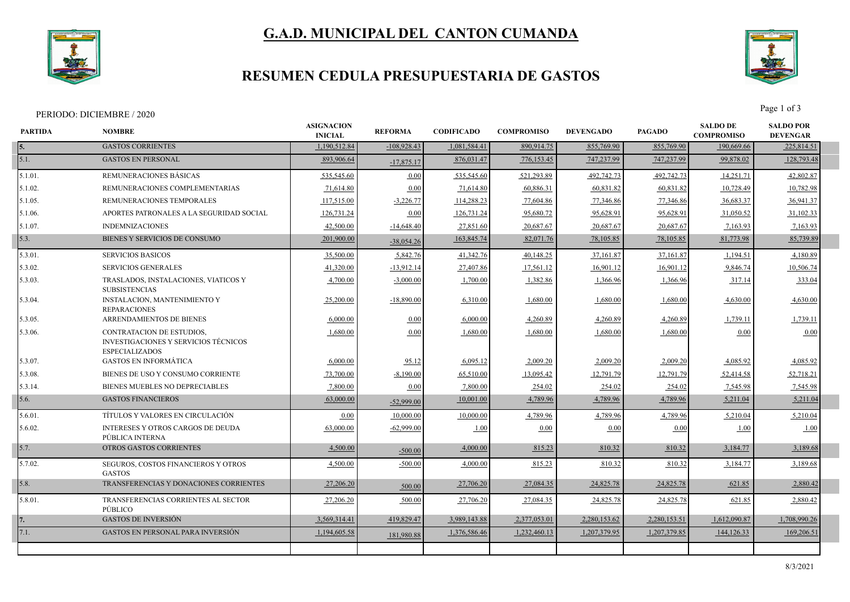

# **G.A.D. MUNICIPAL DEL CANTON CUMANDA**

### **RESUMEN CEDULA PRESUPUESTARIA DE GASTOS**



PERIODO: DICIEMBRE / 2020 Page 1 of 3

| <b>PARTIDA</b> | <b>NOMBRE</b>                                                                              | <b>ASIGNACION</b><br><b>INICIAL</b> | <b>REFORMA</b> | <b>CODIFICADO</b> | <b>COMPROMISO</b> | <b>DEVENGADO</b> | <b>PAGADO</b> | <b>SALDO DE</b><br><b>COMPROMISO</b> | <b>SALDO POR</b><br><b>DEVENGAR</b> |  |
|----------------|--------------------------------------------------------------------------------------------|-------------------------------------|----------------|-------------------|-------------------|------------------|---------------|--------------------------------------|-------------------------------------|--|
| 5.             | <b>GASTOS CORRIENTES</b>                                                                   | 1.190.512.84                        | $-108,928.43$  | 1,081,584.41      | 890,914.75        | 855,769.90       | 855,769.90    | 190,669.66                           | 225,814.51                          |  |
| 5.1.           | <b>GASTOS EN PERSONAL</b>                                                                  | 893,906.64                          | $-17,875.17$   | 876,031.47        | 776,153.45        | 747,237.99       | 747,237.99    | 99,878.02                            | 128,793.48                          |  |
| $5.1.01$ .     | REMUNERACIONES BÁSICAS                                                                     | 535,545.60                          | 0.00           | 535,545.60        | 521,293.89        | 492,742.73       | 492,742.73    | 14,251.71                            | 42,802.87                           |  |
| 5.1.02.        | REMUNERACIONES COMPLEMENTARIAS                                                             | 71,614.80                           | 0.00           | 71,614.80         | 60,886.31         | 60,831.82        | 60,831.82     | 10,728.49                            | 10,782.98                           |  |
| 5.1.05.        | REMUNERACIONES TEMPORALES                                                                  | 117,515.00                          | $-3,226.77$    | 114,288.23        | 77,604.86         | 77,346.86        | 77,346.86     | 36,683.37                            | 36,941.37                           |  |
| 5.1.06.        | APORTES PATRONALES A LA SEGURIDAD SOCIAL                                                   | 126,731.24                          | 0.00           | 126,731.24        | 95,680.72         | 95,628.91        | 95,628.91     | 31,050.52                            | 31,102.33                           |  |
| 5.1.07.        | <b>INDEMNIZACIONES</b>                                                                     | 42,500.00                           | $-14,648.40$   | 27,851.60         | 20,687.67         | 20,687.67        | 20,687.67     | 7,163.93                             | 7,163.93                            |  |
| 5.3.           | BIENES Y SERVICIOS DE CONSUMO                                                              | 201,900.00                          | $-38,054.26$   | 163,845.74        | 82,071.76         | 78,105.85        | 78,105.85     | 81,773.98                            | 85,739.89                           |  |
| 5.3.01.        | <b>SERVICIOS BASICOS</b>                                                                   | 35,500.00                           | 5,842.76       | 41,342.76         | 40,148.25         | 37,161.87        | 37,161.87     | 1,194.51                             | 4,180.89                            |  |
| 5.3.02.        | <b>SERVICIOS GENERALES</b>                                                                 | 41,320.00                           | $-13,912,14$   | 27,407.86         | 17,561.12         | 16,901.12        | 16,901.12     | 9,846.74                             | 10,506.74                           |  |
| 5.3.03.        | TRASLADOS, INSTALACIONES, VIATICOS Y<br><b>SUBSISTENCIAS</b>                               | 4,700.00                            | $-3,000.00$    | 1,700.00          | 1,382.86          | 1,366.96         | 1,366.96      | 317.14                               | 333.04                              |  |
| 5.3.04.        | <b>INSTALACION, MANTENIMIENTO Y</b><br><b>REPARACIONES</b>                                 | 25,200.00                           | $-18,890.00$   | 6,310.00          | 1,680.00          | 1,680.00         | 1,680.00      | 4,630.00                             | 4,630.00                            |  |
| 5.3.05.        | <b>ARRENDAMIENTOS DE BIENES</b>                                                            | 6,000.00                            | 0.00           | 6,000.00          | 4.260.89          | 4,260.89         | 4,260.89      | 1,739.11                             | 1,739.11                            |  |
| 5.3.06.        | CONTRATACION DE ESTUDIOS,<br>INVESTIGACIONES Y SERVICIOS TÉCNICOS<br><b>ESPECIALIZADOS</b> | 1,680.00                            | 0.00           | 1,680.00          | 1,680.00          | 1,680.00         | 1,680.00      | 0.00                                 | 0.00                                |  |
| 5.3.07.        | <b>GASTOS EN INFORMÁTICA</b>                                                               | 6,000.00                            | 95.12          | 6,095.12          | 2,009.20          | 2,009.20         | 2,009.20      | 4,085.92                             | 4,085.92                            |  |
| 5.3.08.        | BIENES DE USO Y CONSUMO CORRIENTE                                                          | 73,700.00                           | $-8,190.00$    | 65,510.00         | 13,095.42         | 12,791.79        | 12,791.79     | 52,414.58                            | 52,718.21                           |  |
| 5.3.14.        | <b>BIENES MUEBLES NO DEPRECIABLES</b>                                                      | 7,800.00                            | 0.00           | 7,800.00          | 254.02            | 254.02           | 254.02        | 7,545.98                             | 7,545.98                            |  |
| 5.6.           | <b>GASTOS FINANCIEROS</b>                                                                  | 63,000.00                           | $-52,999.00$   | 10,001.00         | 4,789.96          | 4,789.96         | 4,789.96      | 5,211.04                             | 5,211.04                            |  |
| 5.6.01.        | TÍTULOS Y VALORES EN CIRCULACIÓN                                                           | 0.00                                | 10,000.00      | 10,000.00         | 4,789.96          | 4,789.96         | 4,789.96      | 5,210.04                             | 5,210.04                            |  |
| 5.6.02.        | <b>INTERESES Y OTROS CARGOS DE DEUDA</b><br>PÚBLICA INTERNA                                | 63,000.00                           | $-62,999.00$   | 1.00              | 0.00              | 0.00             | 0.00          | 1.00                                 | 1.00                                |  |
| 5.7.           | <b>OTROS GASTOS CORRIENTES</b>                                                             | 4,500.00                            | $-500.00$      | 4,000.00          | 815.23            | 810.32           | 810.32        | 3,184.77                             | 3,189.68                            |  |
| 5.7.02.        | SEGUROS, COSTOS FINANCIEROS Y OTROS<br><b>GASTOS</b>                                       | 4,500.00                            | $-500.00$      | 4,000.00          | 815.23            | 810.32           | 810.32        | 3,184.77                             | 3,189.68                            |  |
| 5.8.           | TRANSFERENCIAS Y DONACIONES CORRIENTES                                                     | 27,206.20                           | 500.00         | 27,706.20         | 27,084.35         | 24,825.78        | 24,825.78     | 621.85                               | 2,880.42                            |  |
| 5.8.01.        | TRANSFERENCIAS CORRIENTES AL SECTOR<br>PÚBLICO                                             | 27,206.20                           | 500.00         | 27,706.20         | 27,084.35         | 24,825.78        | 24,825.78     | 621.85                               | 2,880.42                            |  |
|                | <b>GASTOS DE INVERSIÓN</b>                                                                 | 3,569,314.41                        | 419,829.47     | 3,989,143.88      | 2,377,053.01      | 2,280,153.62     | 2,280,153.51  | 1,612,090.87                         | 1,708,990.26                        |  |
| 7.1.           | <b>GASTOS EN PERSONAL PARA INVERSIÓN</b>                                                   | 1,194,605.58                        | 181,980.88     | 1,376,586.46      | 1,232,460.13      | 1,207,379.95     | 1,207,379.85  | 144, 126. 33                         | 169,206.51                          |  |
|                |                                                                                            |                                     |                |                   |                   |                  |               |                                      |                                     |  |
|                |                                                                                            |                                     |                |                   |                   |                  |               |                                      |                                     |  |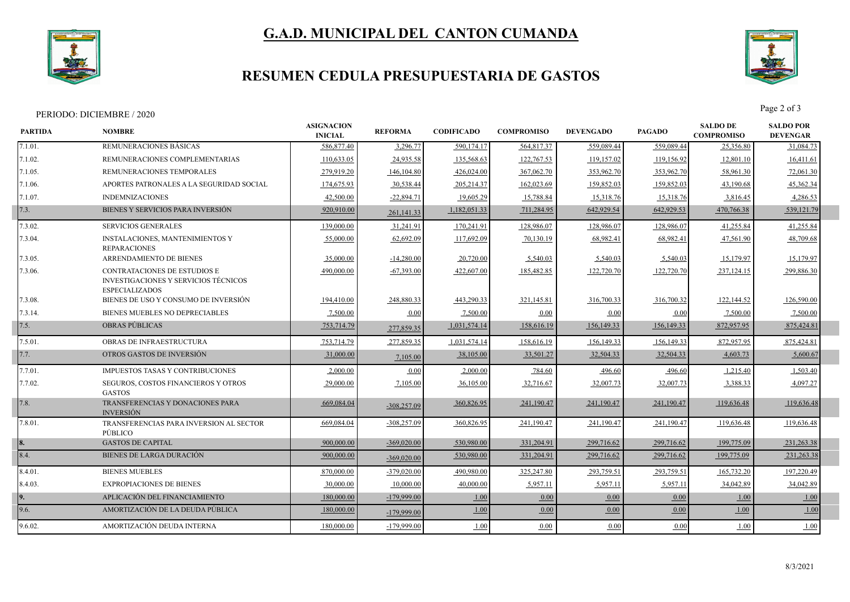

# **G.A.D. MUNICIPAL DEL CANTON CUMANDA**

### **RESUMEN CEDULA PRESUPUESTARIA DE GASTOS**



PERIODO: DICIEMBRE / 2020 Page 2 of 3

| REMUNERACIONES BÁSICAS<br>7.1.01.<br>586,877.40<br>3,296.77<br>590,174.17<br>564,817.37<br>559,089.44<br>559,089.44<br>7.1.02.<br>REMUNERACIONES COMPLEMENTARIAS<br>110,633.05<br>24,935.58<br>135,568.63<br>122,767.53<br>119,157.02<br>119,156.92<br>7.1.05.<br>REMUNERACIONES TEMPORALES<br>279,919.20<br>146,104.80<br>426,024.00<br>367,062.70<br>353,962.70<br>353,962.70<br>APORTES PATRONALES A LA SEGURIDAD SOCIAL<br>174,675.93<br>30,538.44<br>162,023.69<br>159,852.03<br>159,852.03<br>7.1.06.<br>205,214.37<br>42,500.00<br>7.1.07.<br><b>INDEMNIZACIONES</b><br>$-22,894.71$<br>19,605.29<br>15,788.84<br>15,318.76<br>15,318.76<br>BIENES Y SERVICIOS PARA INVERSIÓN<br>642,929.54<br>7.3.<br>920,910.00<br>1,182,051.33<br>711,284.95<br>642,929.53<br>261,141.33 | 25,356.80<br>31,084.73<br>12,801.10<br>16,411.61<br>58,961.30<br>72,061.30<br>43,190.68<br>45,362.34<br>4,286.53<br>3,816.45<br>470,766.38<br>539,121.79<br>41,255.84<br>41,255.84 |
|------------------------------------------------------------------------------------------------------------------------------------------------------------------------------------------------------------------------------------------------------------------------------------------------------------------------------------------------------------------------------------------------------------------------------------------------------------------------------------------------------------------------------------------------------------------------------------------------------------------------------------------------------------------------------------------------------------------------------------------------------------------------------------|------------------------------------------------------------------------------------------------------------------------------------------------------------------------------------|
|                                                                                                                                                                                                                                                                                                                                                                                                                                                                                                                                                                                                                                                                                                                                                                                    |                                                                                                                                                                                    |
|                                                                                                                                                                                                                                                                                                                                                                                                                                                                                                                                                                                                                                                                                                                                                                                    |                                                                                                                                                                                    |
|                                                                                                                                                                                                                                                                                                                                                                                                                                                                                                                                                                                                                                                                                                                                                                                    |                                                                                                                                                                                    |
|                                                                                                                                                                                                                                                                                                                                                                                                                                                                                                                                                                                                                                                                                                                                                                                    |                                                                                                                                                                                    |
|                                                                                                                                                                                                                                                                                                                                                                                                                                                                                                                                                                                                                                                                                                                                                                                    |                                                                                                                                                                                    |
|                                                                                                                                                                                                                                                                                                                                                                                                                                                                                                                                                                                                                                                                                                                                                                                    |                                                                                                                                                                                    |
| 7.3.02.<br><b>SERVICIOS GENERALES</b><br>139,000.00<br>128,986.07<br>128,986.07<br>31,241.91<br>170,241.91<br>128,986.07                                                                                                                                                                                                                                                                                                                                                                                                                                                                                                                                                                                                                                                           |                                                                                                                                                                                    |
| 55,000.00<br>62,692.09<br>117,692.09<br>70,130.19<br>68,982.41<br>7.3.04.<br><b>INSTALACIONES, MANTENIMIENTOS Y</b><br>68,982.4<br><b>REPARACIONES</b>                                                                                                                                                                                                                                                                                                                                                                                                                                                                                                                                                                                                                             | 48,709.68<br>47,561.90                                                                                                                                                             |
| ARRENDAMIENTO DE BIENES<br>35,000.00<br>$-14,280.00$<br>5,540.03<br>5,540.03<br>5,540.03<br>7.3.05.<br>20,720.00                                                                                                                                                                                                                                                                                                                                                                                                                                                                                                                                                                                                                                                                   | 15,179.97<br>15,179.97                                                                                                                                                             |
| 490,000.00<br>$-67,393.00$<br>122,720.70<br>122,720.70<br> 7.3.06.<br><b>CONTRATACIONES DE ESTUDIOS E</b><br>422,607.00<br>185,482.85<br>INVESTIGACIONES Y SERVICIOS TÉCNICOS<br><b>ESPECIALIZADOS</b>                                                                                                                                                                                                                                                                                                                                                                                                                                                                                                                                                                             | 299,886.30<br>237,124.15                                                                                                                                                           |
| BIENES DE USO Y CONSUMO DE INVERSIÓN<br>7.3.08.<br>194,410.00<br>248,880.33<br>443,290.33<br>321,145.81<br>316,700.33<br>316,700.32                                                                                                                                                                                                                                                                                                                                                                                                                                                                                                                                                                                                                                                | 122,144.52<br>126,590.00                                                                                                                                                           |
| 7.3.14.<br><b>BIENES MUEBLES NO DEPRECIABLES</b><br>7,500.00<br>0.00<br>7,500.00<br>0.00<br>0.00<br>0.00                                                                                                                                                                                                                                                                                                                                                                                                                                                                                                                                                                                                                                                                           | 7,500.00<br>7,500.00                                                                                                                                                               |
| 7.5.<br><b>OBRAS PUBLICAS</b><br>753,714.79<br>1,031,574.14<br>158,616.19<br>156, 149. 33<br>156,149.33<br>277,859.35                                                                                                                                                                                                                                                                                                                                                                                                                                                                                                                                                                                                                                                              | 872,957.95<br>875,424.81                                                                                                                                                           |
| 7.5.01.<br><b>OBRAS DE INFRAESTRUCTURA</b><br>753,714.79<br>277,859.35<br>1,031,574.14<br>158,616.19<br>156,149.33<br>156,149.33                                                                                                                                                                                                                                                                                                                                                                                                                                                                                                                                                                                                                                                   | 872,957.95<br>875,424.81                                                                                                                                                           |
| OTROS GASTOS DE INVERSIÓN<br>7.7.<br>31,000.00<br>38,105.00<br>33,501.27<br>32,504.33<br>32,504.33<br>7,105.00                                                                                                                                                                                                                                                                                                                                                                                                                                                                                                                                                                                                                                                                     | 4,603.73<br>5,600.6                                                                                                                                                                |
| 7.7.01.<br>IMPUESTOS TASAS Y CONTRIBUCIONES<br>2,000.00<br>0.00<br>2,000.00<br>784.60<br>496.60<br>496.60                                                                                                                                                                                                                                                                                                                                                                                                                                                                                                                                                                                                                                                                          | 1,215.40<br>1,503.40                                                                                                                                                               |
| <b>SEGUROS, COSTOS FINANCIEROS Y OTROS</b><br>29,000.00<br>7,105.00<br>36,105.00<br>32,716.67<br>32,007.73<br>32,007.73<br>7.7.02.<br><b>GASTOS</b>                                                                                                                                                                                                                                                                                                                                                                                                                                                                                                                                                                                                                                | 3.388.33<br>4,097.27                                                                                                                                                               |
| 7.8.<br>TRANSFERENCIAS Y DONACIONES PARA<br>669,084.04<br>360,826.95<br>241,190.47<br>241,190.47<br>241,190.47<br>$-308,257.09$<br><b>INVERSIÓN</b>                                                                                                                                                                                                                                                                                                                                                                                                                                                                                                                                                                                                                                | 119,636.48<br>119,636.48                                                                                                                                                           |
| 7.8.01.<br>TRANSFERENCIAS PARA INVERSION AL SECTOR<br>669,084.04<br>$-308,257.09$<br>360,826.95<br>241,190.47<br>241,190.47<br>241,190.47<br>PÚBLICO                                                                                                                                                                                                                                                                                                                                                                                                                                                                                                                                                                                                                               | 119,636.48<br>119,636.48                                                                                                                                                           |
| <b>GASTOS DE CAPITAL</b><br>900,000.00<br>530,980.00<br>331,204.91<br>299,716.62<br>299,716.62<br>$-369,020.00$                                                                                                                                                                                                                                                                                                                                                                                                                                                                                                                                                                                                                                                                    | 231,263.38<br>199,775.09                                                                                                                                                           |
| 8.4.<br><b>BIENES DE LARGA DURACIÓN</b><br>530,980.00<br>331,204.91<br>900,000.00<br>299,716.62<br>299,716.62<br>$-369,020.00$                                                                                                                                                                                                                                                                                                                                                                                                                                                                                                                                                                                                                                                     | 231,263.38<br>199,775.09                                                                                                                                                           |
| 325,247.80<br>8.4.01.<br><b>BIENES MUEBLES</b><br>870,000.00<br>$-379,020,00$<br>490,980.00<br>293,759.51<br>293,759.5                                                                                                                                                                                                                                                                                                                                                                                                                                                                                                                                                                                                                                                             | 165,732.20<br>197,220.49                                                                                                                                                           |
| <b>EXPROPIACIONES DE BIENES</b><br>8.4.03.<br>30,000.00<br>10,000.00<br>40,000.00<br>5,957.11<br>5,957.11<br>5,957.11                                                                                                                                                                                                                                                                                                                                                                                                                                                                                                                                                                                                                                                              | 34,042.89<br>34,042.89                                                                                                                                                             |
| APLICACIÓN DEL FINANCIAMIENTO<br>180,000.00<br>-179,999.00<br>1.00<br>0.00<br>0.00<br>0.00<br>19.                                                                                                                                                                                                                                                                                                                                                                                                                                                                                                                                                                                                                                                                                  | 1.00<br>1.00                                                                                                                                                                       |
| 9.6.<br>AMORTIZACIÓN DE LA DEUDA PÚBLICA<br>180,000.00<br>1.00<br>0.00<br>0.00<br>0.00<br>$-179,999.00$                                                                                                                                                                                                                                                                                                                                                                                                                                                                                                                                                                                                                                                                            | 1.00<br>1.00                                                                                                                                                                       |
| AMORTIZACIÓN DEUDA INTERNA<br>9.6.02.<br>180,000.00<br>-179,999.00<br>1.00<br>0.00<br>0.00<br>0.00                                                                                                                                                                                                                                                                                                                                                                                                                                                                                                                                                                                                                                                                                 | 1.00<br>1.00                                                                                                                                                                       |